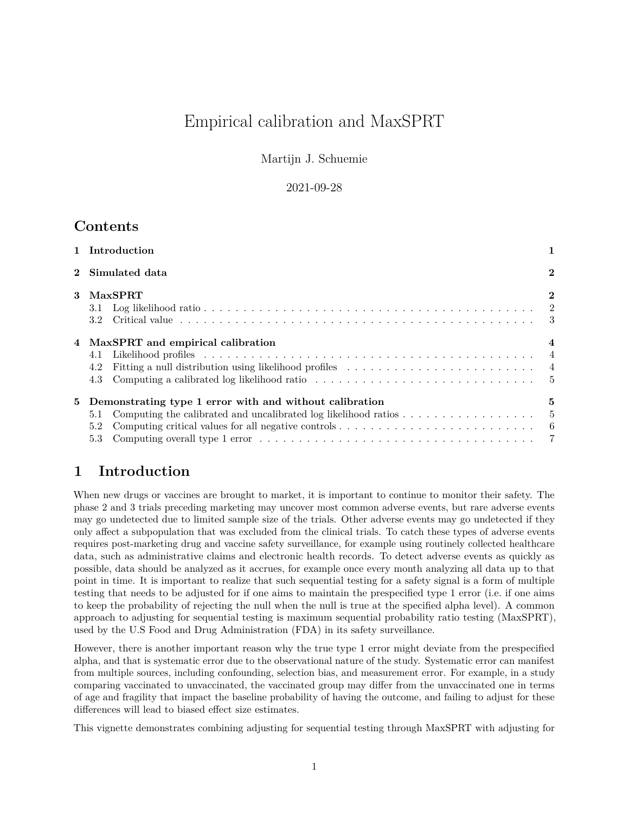# Empirical calibration and MaxSPRT

Martijn J. Schuemie

#### 2021-09-28

### **Contents**

| 1 Introduction |                                                                                                                                                                                                           |          |  |  |  |  |
|----------------|-----------------------------------------------------------------------------------------------------------------------------------------------------------------------------------------------------------|----------|--|--|--|--|
| $\mathbf{2}$   | Simulated data                                                                                                                                                                                            |          |  |  |  |  |
|                | 3 MaxSPRT<br>3.2                                                                                                                                                                                          | $\bf{2}$ |  |  |  |  |
|                | 4 MaxSPRT and empirical calibration<br>4.1<br>Fitting a null distribution using likelihood profiles $\dots \dots \dots \dots \dots \dots \dots \dots \dots$<br>4.2<br>4.3                                 |          |  |  |  |  |
|                | 5 Demonstrating type 1 error with and without calibration<br>5.1<br>Computing critical values for all negative controls $\dots \dots \dots \dots \dots \dots \dots \dots \dots \dots \dots$<br>5.2<br>5.3 | 5        |  |  |  |  |

## <span id="page-0-0"></span>**1 Introduction**

When new drugs or vaccines are brought to market, it is important to continue to monitor their safety. The phase 2 and 3 trials preceding marketing may uncover most common adverse events, but rare adverse events may go undetected due to limited sample size of the trials. Other adverse events may go undetected if they only affect a subpopulation that was excluded from the clinical trials. To catch these types of adverse events requires post-marketing drug and vaccine safety surveillance, for example using routinely collected healthcare data, such as administrative claims and electronic health records. To detect adverse events as quickly as possible, data should be analyzed as it accrues, for example once every month analyzing all data up to that point in time. It is important to realize that such sequential testing for a safety signal is a form of multiple testing that needs to be adjusted for if one aims to maintain the prespecified type 1 error (i.e. if one aims to keep the probability of rejecting the null when the null is true at the specified alpha level). A common approach to adjusting for sequential testing is maximum sequential probability ratio testing (MaxSPRT), used by the U.S Food and Drug Administration (FDA) in its safety surveillance.

However, there is another important reason why the true type 1 error might deviate from the prespecified alpha, and that is systematic error due to the observational nature of the study. Systematic error can manifest from multiple sources, including confounding, selection bias, and measurement error. For example, in a study comparing vaccinated to unvaccinated, the vaccinated group may differ from the unvaccinated one in terms of age and fragility that impact the baseline probability of having the outcome, and failing to adjust for these differences will lead to biased effect size estimates.

This vignette demonstrates combining adjusting for sequential testing through MaxSPRT with adjusting for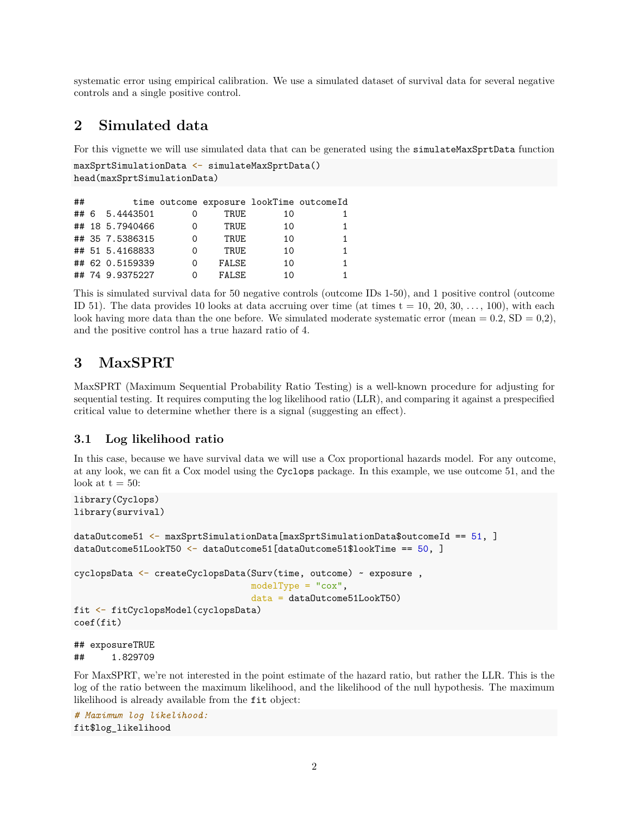systematic error using empirical calibration. We use a simulated dataset of survival data for several negative controls and a single positive control.

### <span id="page-1-0"></span>**2 Simulated data**

For this vignette we will use simulated data that can be generated using the simulateMaxSprtData function

```
maxSprtSimulationData <- simulateMaxSprtData()
head(maxSprtSimulationData)
```

| ## |                 |   |        |    | time outcome exposure lookTime outcomeId |
|----|-----------------|---|--------|----|------------------------------------------|
|    | ## 6 5.4443501  |   | TRUE   | 10 |                                          |
|    | ## 18 5.7940466 | 0 | TRUE   | 10 |                                          |
|    | ## 35 7.5386315 | Ω | TRUE.  | 10 |                                          |
|    | ## 51 5.4168833 | 0 | TRUF.  | 10 |                                          |
|    | ## 62 0.5159339 | 0 | FALSE  | 10 |                                          |
|    | ## 74 9.9375227 | 0 | FALSE. | 10 |                                          |

This is simulated survival data for 50 negative controls (outcome IDs 1-50), and 1 positive control (outcome ID 51). The data provides 10 looks at data accruing over time (at times  $t = 10, 20, 30, \ldots, 100$ ), with each look having more data than the one before. We simulated moderate systematic error (mean =  $0.2$ , SD =  $0.2$ ), and the positive control has a true hazard ratio of 4.

### <span id="page-1-1"></span>**3 MaxSPRT**

MaxSPRT (Maximum Sequential Probability Ratio Testing) is a well-known procedure for adjusting for sequential testing. It requires computing the log likelihood ratio (LLR), and comparing it against a prespecified critical value to determine whether there is a signal (suggesting an effect).

#### <span id="page-1-2"></span>**3.1 Log likelihood ratio**

In this case, because we have survival data we will use a Cox proportional hazards model. For any outcome, at any look, we can fit a Cox model using the Cyclops package. In this example, we use outcome 51, and the look at  $t = 50$ :

```
library(Cyclops)
library(survival)
dataOutcome51 <- maxSprtSimulationData[maxSprtSimulationData$outcomeId == 51, ]
dataOutcome51LookT50 <- dataOutcome51[dataOutcome51$lookTime == 50, ]
cyclopsData <- createCyclopsData(Surv(time, outcome) ~ exposure ,
                                 modelType = "cox",
                                 data = dataOutcome51LookT50)
fit <- fitCyclopsModel(cyclopsData)
```

```
coef(fit)
```
## exposureTRUE ## 1.829709

For MaxSPRT, we're not interested in the point estimate of the hazard ratio, but rather the LLR. This is the log of the ratio between the maximum likelihood, and the likelihood of the null hypothesis. The maximum likelihood is already available from the fit object:

```
# Maximum log likelihood:
fit$log_likelihood
```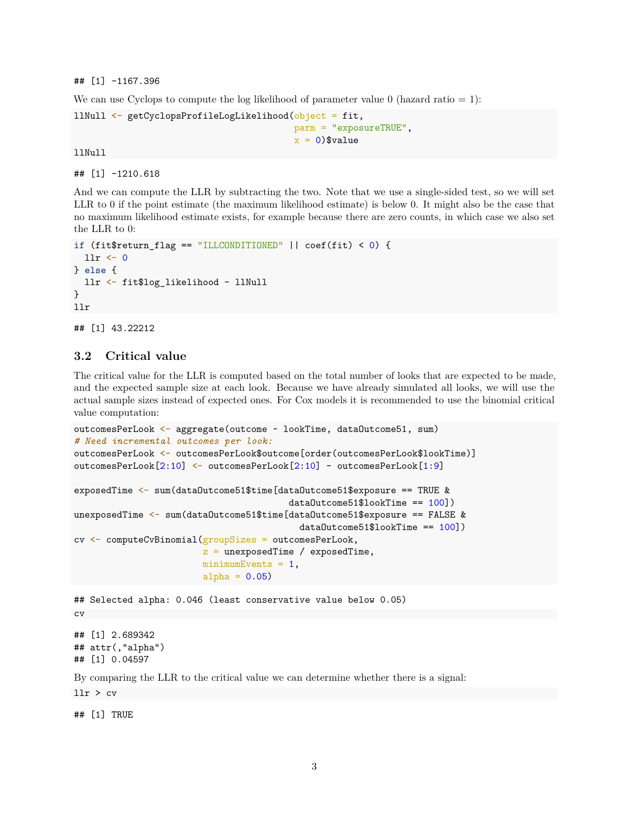## [1] -1167.396

We can use Cyclops to compute the log likelihood of parameter value  $0$  (hazard ratio  $= 1$ ):

```
llNull <- getCyclopsProfileLogLikelihood(object = fit,
                                          parm = "exposureTRUE",
                                          x = 0) $value
```
llNull

## [1] -1210.618

And we can compute the LLR by subtracting the two. Note that we use a single-sided test, so we will set LLR to 0 if the point estimate (the maximum likelihood estimate) is below 0. It might also be the case that no maximum likelihood estimate exists, for example because there are zero counts, in which case we also set the LLR to 0:

```
if (fit$return_flag == "ILLCONDITIONED" || coef(fit) < 0) {
 llr <- 0
} else {
 llr <- fit$log_likelihood - llNull
}
llr
```
## [1] 43.22212

#### <span id="page-2-0"></span>**3.2 Critical value**

The critical value for the LLR is computed based on the total number of looks that are expected to be made, and the expected sample size at each look. Because we have already simulated all looks, we will use the actual sample sizes instead of expected ones. For Cox models it is recommended to use the binomial critical value computation:

```
outcomesPerLook <- aggregate(outcome ~ lookTime, dataOutcome51, sum)
# Need incremental outcomes per look:
outcomesPerLook <- outcomesPerLook$outcome[order(outcomesPerLook$lookTime)]
outcomesPerLook[2:10] <- outcomesPerLook[2:10] - outcomesPerLook[1:9]
exposedTime <- sum(dataOutcome51$time[dataOutcome51$exposure == TRUE &
                                        dataOutcome51$lookTime == 100])
unexposedTime <- sum(dataOutcome51$time[dataOutcome51$exposure == FALSE &
                                          dataOutcome51$lookTime == 100])
cv <- computeCvBinomial(groupSizes = outcomesPerLook,
                        z = unexposedTime / exposedTime,
                        minimumEvents = 1,
                        alpha = 0.05)
## Selected alpha: 0.046 (least conservative value below 0.05)
cv
```
## [1] 2.689342 ## attr(,"alpha") ## [1] 0.04597

By comparing the LLR to the critical value we can determine whether there is a signal:

llr > cv

## [1] TRUE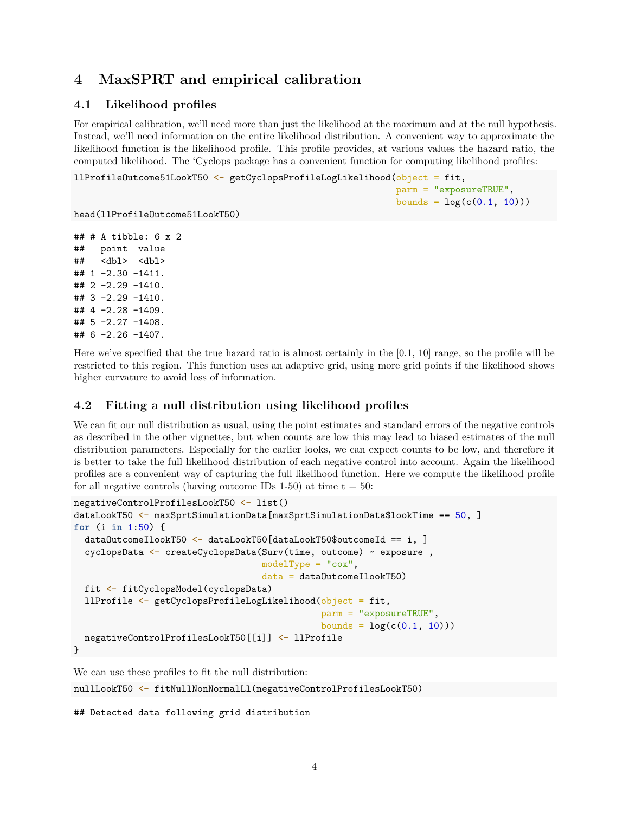### <span id="page-3-0"></span>**4 MaxSPRT and empirical calibration**

### <span id="page-3-1"></span>**4.1 Likelihood profiles**

For empirical calibration, we'll need more than just the likelihood at the maximum and at the null hypothesis. Instead, we'll need information on the entire likelihood distribution. A convenient way to approximate the likelihood function is the likelihood profile. This profile provides, at various values the hazard ratio, the computed likelihood. The 'Cyclops package has a convenient function for computing likelihood profiles:

```
llProfileOutcome51LookT50 <- getCyclopsProfileLogLikelihood(object = fit,
                                                            parm = "exposureTRUE",
                                                            bounds = log(c(0.1, 10)))
```
head(llProfileOutcome51LookT50)

```
## # A tibble: 6 x 2
## point value
## <dbl> <dbl>
\# \# 1 -2.30 -1411.
## 2 -2.29 -1410.
## 3 -2.29 -1410.
## 4 -2.28 -1409.
## 5 -2.27 -1408.
## 6 -2.26 -1407.
```
Here we've specified that the true hazard ratio is almost certainly in the [0.1, 10] range, so the profile will be restricted to this region. This function uses an adaptive grid, using more grid points if the likelihood shows higher curvature to avoid loss of information.

#### <span id="page-3-2"></span>**4.2 Fitting a null distribution using likelihood profiles**

We can fit our null distribution as usual, using the point estimates and standard errors of the negative controls as described in the other vignettes, but when counts are low this may lead to biased estimates of the null distribution parameters. Especially for the earlier looks, we can expect counts to be low, and therefore it is better to take the full likelihood distribution of each negative control into account. Again the likelihood profiles are a convenient way of capturing the full likelihood function. Here we compute the likelihood profile for all negative controls (having outcome IDs 1-50) at time  $t = 50$ :

```
negativeControlProfilesLookT50 <- list()
dataLookT50 <- maxSprtSimulationData[maxSprtSimulationData$lookTime == 50, ]
for (i in 1:50) {
  dataOutcomeIlookT50 <- dataLookT50[dataLookT50$outcomeId == i, ]
  cyclopsData <- createCyclopsData(Surv(time, outcome) ~ exposure ,
                                   modelType = "cox",
                                   data = dataOutcomeIlookT50)
  fit <- fitCyclopsModel(cyclopsData)
  llProfile <- getCyclopsProfileLogLikelihood(object = fit,
                                              parm = "exposureTRUE",
                                              bounds = log(c(0.1, 10)))negativeControlProfilesLookT50[[i]] <- llProfile
}
```
We can use these profiles to fit the null distribution:

```
nullLookT50 <- fitNullNonNormalLl(negativeControlProfilesLookT50)
```

```
## Detected data following grid distribution
```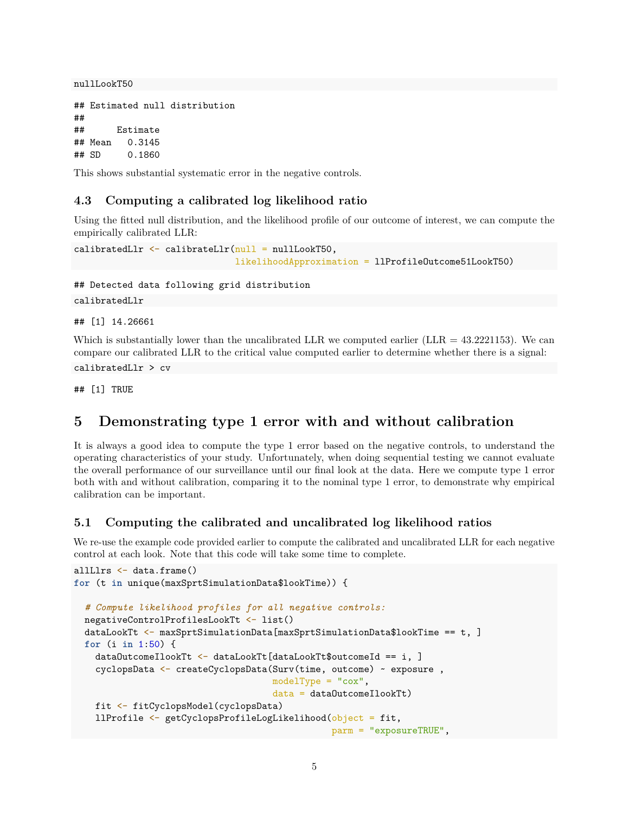nullLookT50

```
## Estimated null distribution
##
## Estimate
## Mean 0.3145
## SD 0.1860
```
This shows substantial systematic error in the negative controls.

### <span id="page-4-0"></span>**4.3 Computing a calibrated log likelihood ratio**

Using the fitted null distribution, and the likelihood profile of our outcome of interest, we can compute the empirically calibrated LLR:

```
calibratedLlr \leftarrow calibrateLlr(null = nullLookT50,
                                likelihoodApproximation = llProfileOutcome51LookT50)
```
## Detected data following grid distribution

calibratedLlr

## [1] 14.26661

Which is substantially lower than the uncalibrated LLR we computed earlier (LLR  $=$  43.2221153). We can compare our calibrated LLR to the critical value computed earlier to determine whether there is a signal:

calibratedLlr > cv

## [1] TRUE

### <span id="page-4-1"></span>**5 Demonstrating type 1 error with and without calibration**

It is always a good idea to compute the type 1 error based on the negative controls, to understand the operating characteristics of your study. Unfortunately, when doing sequential testing we cannot evaluate the overall performance of our surveillance until our final look at the data. Here we compute type 1 error both with and without calibration, comparing it to the nominal type 1 error, to demonstrate why empirical calibration can be important.

### <span id="page-4-2"></span>**5.1 Computing the calibrated and uncalibrated log likelihood ratios**

We re-use the example code provided earlier to compute the calibrated and uncalibrated LLR for each negative control at each look. Note that this code will take some time to complete.

```
allLlrs <- data.frame()
for (t in unique(maxSprtSimulationData$lookTime)) {
  # Compute likelihood profiles for all negative controls:
  negativeControlProfilesLookTt <- list()
  dataLookTt <- maxSprtSimulationData[maxSprtSimulationData$lookTime == t, ]
  for (i in 1:50) {
    dataOutcomeIlookTt \leftarrow dataLookTt[dataLookTt$outcomeId == i, ]cyclopsData <- createCyclopsData(Surv(time, outcome) ~ exposure ,
                                      modelType = "cox",
                                      data = dataOutcomeIlookTt)
   fit <- fitCyclopsModel(cyclopsData)
   llProfile <- getCyclopsProfileLogLikelihood(object = fit,
                                                 parm = "exposureTRUE",
```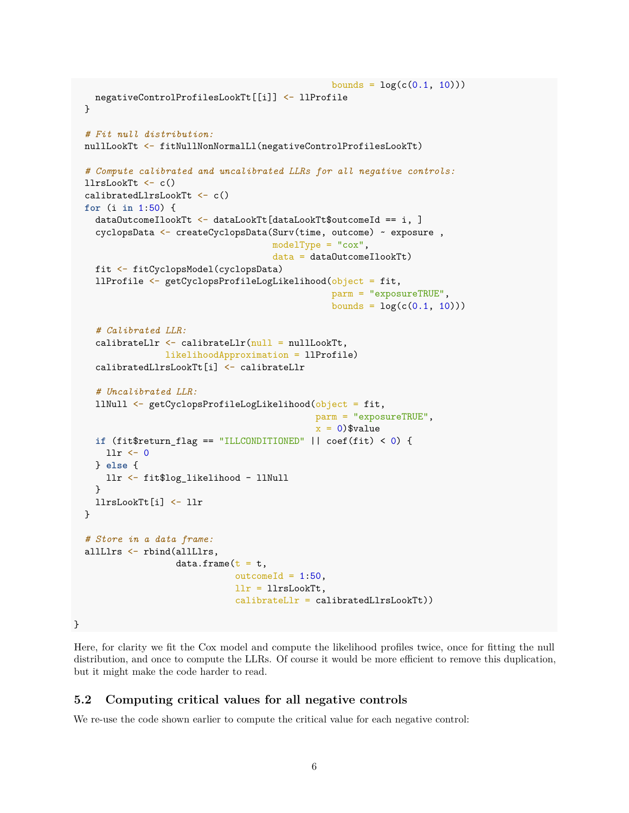```
bounds = log(c(0.1, 10)))negativeControlProfilesLookTt[[i]] <- llProfile
  }
  # Fit null distribution:
  nullLookTt <- fitNullNonNormalLl(negativeControlProfilesLookTt)
  # Compute calibrated and uncalibrated LLRs for all negative controls:
  llrsLookTt <- c()
  calibratedLlrsLookTt <- c()
  for (i in 1:50) {
   dataOutcomeIlookTt <- dataLookTt[dataLookTt$outcomeId == i, ]
   cyclopsData <- createCyclopsData(Surv(time, outcome) ~ exposure ,
                                     modelType = "cox",
                                     data = dataOutcomeIlookTt)
   fit <- fitCyclopsModel(cyclopsData)
   llProfile <- getCyclopsProfileLogLikelihood(object = fit,
                                                 parm = "exposureTRUE",
                                                 bounds = log(c(0.1, 10)))# Calibrated LLR:
    calibrateLlr \leftarrow calibrateLlr(null = nullLookTt,
                 likelihoodApproximation = llProfile)
   calibratedLlrsLookTt[i] <- calibrateLlr
    # Uncalibrated LLR:
   llNull <- getCyclopsProfileLogLikelihood(object = fit,
                                              parm = "exposureTRUE",
                                              x = 0) $value
   if (fit$return_flag == "ILLCONDITIONED" || coef(fit) < 0) {
     llr <- 0
   } else {
      llr <- fit$log_likelihood - llNull
   }
   llrsLookTt[i] <- llr
  }
  # Store in a data frame:
  allLlrs <- rbind(allLlrs,
                   data.frame(t = t,outcomeId = 1:50,llr = llrsLookTt,
                              calibrateLlr = calibratedLlrsLookTt))
}
```
Here, for clarity we fit the Cox model and compute the likelihood profiles twice, once for fitting the null distribution, and once to compute the LLRs. Of course it would be more efficient to remove this duplication, but it might make the code harder to read.

### <span id="page-5-0"></span>**5.2 Computing critical values for all negative controls**

We re-use the code shown earlier to compute the critical value for each negative control: